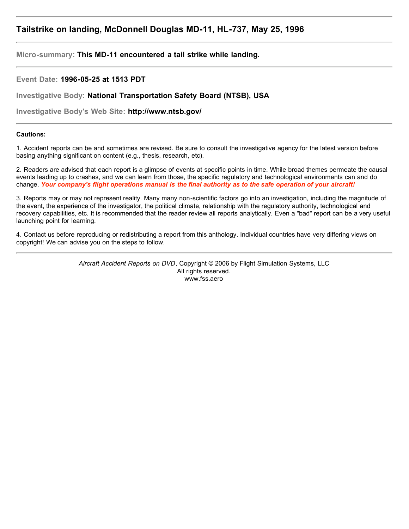# **Tailstrike on landing, McDonnell Douglas MD-11, HL-737, May 25, 1996**

**Micro-summary: This MD-11 encountered a tail strike while landing.**

**Event Date: 1996-05-25 at 1513 PDT**

**Investigative Body: National Transportation Safety Board (NTSB), USA**

**Investigative Body's Web Site: http://www.ntsb.gov/**

# **Cautions:**

1. Accident reports can be and sometimes are revised. Be sure to consult the investigative agency for the latest version before basing anything significant on content (e.g., thesis, research, etc).

2. Readers are advised that each report is a glimpse of events at specific points in time. While broad themes permeate the causal events leading up to crashes, and we can learn from those, the specific regulatory and technological environments can and do change. *Your company's flight operations manual is the final authority as to the safe operation of your aircraft!*

3. Reports may or may not represent reality. Many many non-scientific factors go into an investigation, including the magnitude of the event, the experience of the investigator, the political climate, relationship with the regulatory authority, technological and recovery capabilities, etc. It is recommended that the reader review all reports analytically. Even a "bad" report can be a very useful launching point for learning.

4. Contact us before reproducing or redistributing a report from this anthology. Individual countries have very differing views on copyright! We can advise you on the steps to follow.

> *Aircraft Accident Reports on DVD*, Copyright © 2006 by Flight Simulation Systems, LLC All rights reserved. www.fss.aero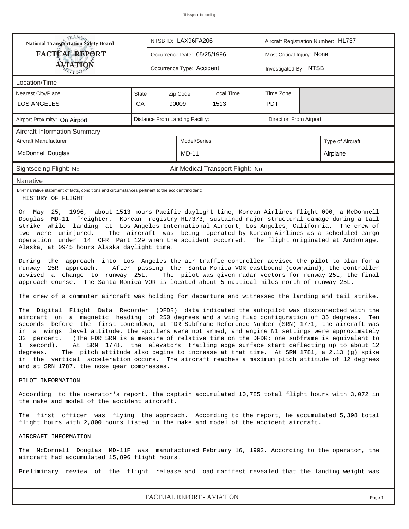| <b>RANS</b><br>National Transportation Safety Board                                                                                                                                                                                                                                                                                                                                                                                                                                                                                                                                                                                                                                                                                                                                                                                                                                                                                                                                                                                                                                                                                                                                                                                                                                                                                                                                                                                                                                                                                                                                                                                                                                                                                                                                                          |                                                                                                                                                  |                                                            | NTSB ID: LAX96FA206         |                                  |           | Aircraft Registration Number: HL737 |  |  |  |  |
|--------------------------------------------------------------------------------------------------------------------------------------------------------------------------------------------------------------------------------------------------------------------------------------------------------------------------------------------------------------------------------------------------------------------------------------------------------------------------------------------------------------------------------------------------------------------------------------------------------------------------------------------------------------------------------------------------------------------------------------------------------------------------------------------------------------------------------------------------------------------------------------------------------------------------------------------------------------------------------------------------------------------------------------------------------------------------------------------------------------------------------------------------------------------------------------------------------------------------------------------------------------------------------------------------------------------------------------------------------------------------------------------------------------------------------------------------------------------------------------------------------------------------------------------------------------------------------------------------------------------------------------------------------------------------------------------------------------------------------------------------------------------------------------------------------------|--------------------------------------------------------------------------------------------------------------------------------------------------|------------------------------------------------------------|-----------------------------|----------------------------------|-----------|-------------------------------------|--|--|--|--|
| <b>FACTUAL REPORT</b>                                                                                                                                                                                                                                                                                                                                                                                                                                                                                                                                                                                                                                                                                                                                                                                                                                                                                                                                                                                                                                                                                                                                                                                                                                                                                                                                                                                                                                                                                                                                                                                                                                                                                                                                                                                        |                                                                                                                                                  |                                                            | Occurrence Date: 05/25/1996 |                                  |           | Most Critical Injury: None          |  |  |  |  |
| ÁVIATION<br>TYBOA                                                                                                                                                                                                                                                                                                                                                                                                                                                                                                                                                                                                                                                                                                                                                                                                                                                                                                                                                                                                                                                                                                                                                                                                                                                                                                                                                                                                                                                                                                                                                                                                                                                                                                                                                                                            |                                                                                                                                                  |                                                            | Occurrence Type: Accident   |                                  |           | Investigated By: NTSB               |  |  |  |  |
| Location/Time                                                                                                                                                                                                                                                                                                                                                                                                                                                                                                                                                                                                                                                                                                                                                                                                                                                                                                                                                                                                                                                                                                                                                                                                                                                                                                                                                                                                                                                                                                                                                                                                                                                                                                                                                                                                |                                                                                                                                                  |                                                            |                             |                                  |           |                                     |  |  |  |  |
| <b>Nearest City/Place</b>                                                                                                                                                                                                                                                                                                                                                                                                                                                                                                                                                                                                                                                                                                                                                                                                                                                                                                                                                                                                                                                                                                                                                                                                                                                                                                                                                                                                                                                                                                                                                                                                                                                                                                                                                                                    | State                                                                                                                                            |                                                            | Zip Code                    | <b>Local Time</b>                | Time Zone |                                     |  |  |  |  |
| <b>LOS ANGELES</b>                                                                                                                                                                                                                                                                                                                                                                                                                                                                                                                                                                                                                                                                                                                                                                                                                                                                                                                                                                                                                                                                                                                                                                                                                                                                                                                                                                                                                                                                                                                                                                                                                                                                                                                                                                                           | CA                                                                                                                                               |                                                            | 90009                       |                                  |           |                                     |  |  |  |  |
| Airport Proximity: On Airport                                                                                                                                                                                                                                                                                                                                                                                                                                                                                                                                                                                                                                                                                                                                                                                                                                                                                                                                                                                                                                                                                                                                                                                                                                                                                                                                                                                                                                                                                                                                                                                                                                                                                                                                                                                |                                                                                                                                                  | Distance From Landing Facility:<br>Direction From Airport: |                             |                                  |           |                                     |  |  |  |  |
| <b>Aircraft Information Summary</b>                                                                                                                                                                                                                                                                                                                                                                                                                                                                                                                                                                                                                                                                                                                                                                                                                                                                                                                                                                                                                                                                                                                                                                                                                                                                                                                                                                                                                                                                                                                                                                                                                                                                                                                                                                          |                                                                                                                                                  |                                                            |                             |                                  |           |                                     |  |  |  |  |
| Aircraft Manufacturer                                                                                                                                                                                                                                                                                                                                                                                                                                                                                                                                                                                                                                                                                                                                                                                                                                                                                                                                                                                                                                                                                                                                                                                                                                                                                                                                                                                                                                                                                                                                                                                                                                                                                                                                                                                        | Model/Series<br>Type of Aircraft                                                                                                                 |                                                            |                             |                                  |           |                                     |  |  |  |  |
| <b>McDonnell Douglas</b>                                                                                                                                                                                                                                                                                                                                                                                                                                                                                                                                                                                                                                                                                                                                                                                                                                                                                                                                                                                                                                                                                                                                                                                                                                                                                                                                                                                                                                                                                                                                                                                                                                                                                                                                                                                     |                                                                                                                                                  |                                                            | Airplane                    |                                  |           |                                     |  |  |  |  |
| Sightseeing Flight: No                                                                                                                                                                                                                                                                                                                                                                                                                                                                                                                                                                                                                                                                                                                                                                                                                                                                                                                                                                                                                                                                                                                                                                                                                                                                                                                                                                                                                                                                                                                                                                                                                                                                                                                                                                                       |                                                                                                                                                  |                                                            |                             | Air Medical Transport Flight: No |           |                                     |  |  |  |  |
| Narrative                                                                                                                                                                                                                                                                                                                                                                                                                                                                                                                                                                                                                                                                                                                                                                                                                                                                                                                                                                                                                                                                                                                                                                                                                                                                                                                                                                                                                                                                                                                                                                                                                                                                                                                                                                                                    |                                                                                                                                                  |                                                            |                             |                                  |           |                                     |  |  |  |  |
| Brief narrative statement of facts, conditions and circumstances pertinent to the accident/incident:<br>HISTORY OF FLIGHT                                                                                                                                                                                                                                                                                                                                                                                                                                                                                                                                                                                                                                                                                                                                                                                                                                                                                                                                                                                                                                                                                                                                                                                                                                                                                                                                                                                                                                                                                                                                                                                                                                                                                    |                                                                                                                                                  |                                                            |                             |                                  |           |                                     |  |  |  |  |
| Douglas MD-11 freighter, Korean registry HL7373, sustained major structural damage during a tail<br>strike while landing at Los Angeles International Airport, Los Angeles, California. The crew of<br>The aircraft was being operated by Korean Airlines as a scheduled cargo<br>two were uninjured.<br>operation under 14 CFR Part 129 when the accident occurred. The flight originated at Anchorage,<br>Alaska, at 0945 hours Alaska daylight time.<br>During the approach into Los Angeles the air traffic controller advised the pilot to plan for a<br>runway 25R approach.<br>After passing the Santa Monica VOR eastbound (downwind), the controller<br>advised a change to runway 25L.<br>The pilot was given radar vectors for runway 25L, the final<br>approach course. The Santa Monica VOR is located about 5 nautical miles north of runway 25L.<br>The crew of a commuter aircraft was holding for departure and witnessed the landing and tail strike.<br>The Digital Flight Data Recorder (DFDR) data indicated the autopilot was disconnected with the<br>aircraft on a magnetic heading of 250 degrees and a wing flap configuration of 35 degrees.<br>Ten<br>seconds before the first touchdown, at FDR Subframe Reference Number (SRN) 1771, the aircraft was<br>in a wings level attitude, the spoilers were not armed, and engine N1 settings were approximately<br>(The FDR SRN is a measure of relative time on the DFDR; one subframe is equivalent to<br>32 percent.<br>At SRN 1778, the elevators trailing edge surface start deflecting up to about 12<br>1 second).<br>The pitch attitude also begins to increase at that time. At SRN 1781, a 2.13 (g) spike<br>degrees.<br>in the vertical acceleration occurs. The aircraft reaches a maximum pitch attitude of 12 degrees |                                                                                                                                                  |                                                            |                             |                                  |           |                                     |  |  |  |  |
| and at SRN 1787, the nose gear compresses.<br>PILOT INFORMATION                                                                                                                                                                                                                                                                                                                                                                                                                                                                                                                                                                                                                                                                                                                                                                                                                                                                                                                                                                                                                                                                                                                                                                                                                                                                                                                                                                                                                                                                                                                                                                                                                                                                                                                                              |                                                                                                                                                  |                                                            |                             |                                  |           |                                     |  |  |  |  |
| According to the operator's report, the captain accumulated 10,785 total flight hours with 3,072 in<br>the make and model of the accident aircraft.                                                                                                                                                                                                                                                                                                                                                                                                                                                                                                                                                                                                                                                                                                                                                                                                                                                                                                                                                                                                                                                                                                                                                                                                                                                                                                                                                                                                                                                                                                                                                                                                                                                          |                                                                                                                                                  |                                                            |                             |                                  |           |                                     |  |  |  |  |
| The first officer was flying the approach. According to the report, he accumulated 5,398 total<br>flight hours with 2,800 hours listed in the make and model of the accident aircraft.                                                                                                                                                                                                                                                                                                                                                                                                                                                                                                                                                                                                                                                                                                                                                                                                                                                                                                                                                                                                                                                                                                                                                                                                                                                                                                                                                                                                                                                                                                                                                                                                                       |                                                                                                                                                  |                                                            |                             |                                  |           |                                     |  |  |  |  |
| AIRCRAFT INFORMATION                                                                                                                                                                                                                                                                                                                                                                                                                                                                                                                                                                                                                                                                                                                                                                                                                                                                                                                                                                                                                                                                                                                                                                                                                                                                                                                                                                                                                                                                                                                                                                                                                                                                                                                                                                                         |                                                                                                                                                  |                                                            |                             |                                  |           |                                     |  |  |  |  |
|                                                                                                                                                                                                                                                                                                                                                                                                                                                                                                                                                                                                                                                                                                                                                                                                                                                                                                                                                                                                                                                                                                                                                                                                                                                                                                                                                                                                                                                                                                                                                                                                                                                                                                                                                                                                              | The McDonnell Douglas MD-11F was manufactured February 16, 1992. According to the operator, the<br>aircraft had accumulated 15,896 flight hours. |                                                            |                             |                                  |           |                                     |  |  |  |  |
| Preliminary review of the flight release and load manifest revealed that the landing weight was                                                                                                                                                                                                                                                                                                                                                                                                                                                                                                                                                                                                                                                                                                                                                                                                                                                                                                                                                                                                                                                                                                                                                                                                                                                                                                                                                                                                                                                                                                                                                                                                                                                                                                              |                                                                                                                                                  |                                                            |                             |                                  |           |                                     |  |  |  |  |
| FACTUAL REPORT - AVIATION<br>Page 1                                                                                                                                                                                                                                                                                                                                                                                                                                                                                                                                                                                                                                                                                                                                                                                                                                                                                                                                                                                                                                                                                                                                                                                                                                                                                                                                                                                                                                                                                                                                                                                                                                                                                                                                                                          |                                                                                                                                                  |                                                            |                             |                                  |           |                                     |  |  |  |  |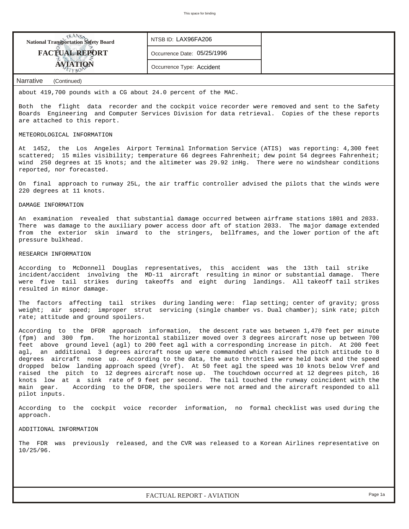

about 419,700 pounds with a CG about 24.0 percent of the MAC.

Both the flight data recorder and the cockpit voice recorder were removed and sent to the Safety Boards Engineering and Computer Services Division for data retrieval. Copies of the these reports are attached to this report.

#### METEOROLOGICAL INFORMATION

At 1452, the Los Angeles Airport Terminal Information Service (ATIS) was reporting: 4,300 feet scattered; 15 miles visibility; temperature 66 degrees Fahrenheit; dew point 54 degrees Fahrenheit; wind 250 degrees at 15 knots; and the altimeter was 29.92 inHg. There were no windshear conditions reported, nor forecasted.

On final approach to runway 25L, the air traffic controller advised the pilots that the winds were 220 degrees at 11 knots.

### DAMAGE INFORMATION

An examination revealed that substantial damage occurred between airframe stations 1801 and 2033. There was damage to the auxiliary power access door aft of station 2033. The major damage extended from the exterior skin inward to the stringers, bellframes, and the lower portion of the aft pressure bulkhead.

## RESEARCH INFORMATION

According to McDonnell Douglas representatives, this accident was the 13th tail strike incident/accident involving the MD-11 aircraft resulting in minor or substantial damage. There were five tail strikes during takeoffs and eight during landings. All takeoff tail strikes resulted in minor damage.

The factors affecting tail strikes during landing were: flap setting; center of gravity; gross weight; air speed; improper strut servicing (single chamber vs. Dual chamber); sink rate; pitch rate; attitude and ground spoilers.

According to the DFDR approach information, the descent rate was between 1,470 feet per minute (fpm) and 300 fpm. The horizontal stabilizer moved over 3 degrees aircraft nose up between 700 feet above ground level (agl) to 200 feet agl with a corresponding increase in pitch. At 200 feet agl, an additional 3 degrees aircraft nose up were commanded which raised the pitch attitude to 8 degrees aircraft nose up. According to the data, the auto throttles were held back and the speed dropped below landing approach speed (Vref). At 50 feet agl the speed was 10 knots below Vref and raised the pitch to 12 degrees aircraft nose up. The touchdown occurred at 12 degrees pitch, 16 knots low at a sink rate of 9 feet per second. The tail touched the runway coincident with the main gear. According to the DFDR, the spoilers were not armed and the aircraft responded to all pilot inputs.

According to the cockpit voice recorder information, no formal checklist was used during the approach.

#### ADDITIONAL INFORMATION

The FDR was previously released, and the CVR was released to a Korean Airlines representative on 10/25/96.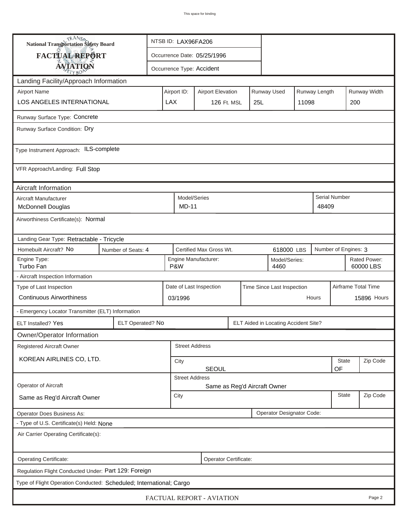| <b>National Transportation Safety Board</b>                         |                       | NTSB ID: LAX96FA206                                                     |                              |                           |             |                       |                                                               |          |       |                           |             |  |  |
|---------------------------------------------------------------------|-----------------------|-------------------------------------------------------------------------|------------------------------|---------------------------|-------------|-----------------------|---------------------------------------------------------------|----------|-------|---------------------------|-------------|--|--|
| FACTUAL REPORT                                                      |                       | Occurrence Date: 05/25/1996                                             |                              |                           |             |                       |                                                               |          |       |                           |             |  |  |
| <b>AVIATION</b>                                                     |                       |                                                                         |                              | Occurrence Type: Accident |             |                       |                                                               |          |       |                           |             |  |  |
| Landing Facility/Approach Information                               |                       |                                                                         |                              |                           |             |                       |                                                               |          |       |                           |             |  |  |
| <b>Airport Name</b>                                                 |                       | Airport ID:<br>Runway Used<br>Runway Length<br><b>Airport Elevation</b> |                              |                           |             |                       |                                                               |          |       | Runway Width              |             |  |  |
| <b>LOS ANGELES INTERNATIONAL</b>                                    | <b>LAX</b>            |                                                                         |                              |                           | 126 Ft. MSL | 25L                   |                                                               | 11098    | 200   |                           |             |  |  |
| Runway Surface Type: Concrete                                       |                       |                                                                         |                              |                           |             |                       |                                                               |          |       |                           |             |  |  |
| Runway Surface Condition: Dry                                       |                       |                                                                         |                              |                           |             |                       |                                                               |          |       |                           |             |  |  |
| Type Instrument Approach: ILS-complete                              |                       |                                                                         |                              |                           |             |                       |                                                               |          |       |                           |             |  |  |
| VFR Approach/Landing: Full Stop                                     |                       |                                                                         |                              |                           |             |                       |                                                               |          |       |                           |             |  |  |
| Aircraft Information                                                |                       |                                                                         |                              |                           |             |                       |                                                               |          |       |                           |             |  |  |
| Aircraft Manufacturer<br><b>McDonnell Douglas</b>                   |                       |                                                                         | Model/Series<br><b>MD-11</b> |                           |             |                       |                                                               |          | 48409 | Serial Number             |             |  |  |
| Airworthiness Certificate(s): Normal                                |                       |                                                                         |                              |                           |             |                       |                                                               |          |       |                           |             |  |  |
| Landing Gear Type: Retractable - Tricycle                           |                       |                                                                         |                              |                           |             |                       |                                                               |          |       |                           |             |  |  |
| Homebuilt Aircraft? No                                              | Number of Seats: 4    |                                                                         |                              |                           |             |                       | Certified Max Gross Wt.<br>Number of Engines: 3<br>618000 LBS |          |       |                           |             |  |  |
| Engine Type:<br>Turbo Fan                                           |                       | P&W                                                                     | Engine Manufacturer:         |                           |             | Model/Series:<br>4460 |                                                               |          |       | Rated Power:<br>60000 LBS |             |  |  |
| - Aircraft Inspection Information                                   |                       |                                                                         |                              |                           |             |                       |                                                               |          |       |                           |             |  |  |
| Type of Last Inspection                                             |                       |                                                                         |                              | Date of Last Inspection   |             |                       | Time Since Last Inspection                                    |          |       | Airframe Total Time       |             |  |  |
| <b>Continuous Airworthiness</b>                                     |                       |                                                                         | 03/1996<br>Hours             |                           |             |                       |                                                               |          |       |                           | 15896 Hours |  |  |
| - Emergency Locator Transmitter (ELT) Information                   |                       |                                                                         |                              |                           |             |                       |                                                               |          |       |                           |             |  |  |
| <b>ELT</b> Installed? Yes                                           | ELT Operated? No      |                                                                         |                              |                           |             |                       | ELT Aided in Locating Accident Site?                          |          |       |                           |             |  |  |
| Owner/Operator Information                                          |                       |                                                                         |                              |                           |             |                       |                                                               |          |       |                           |             |  |  |
| Registered Aircraft Owner                                           |                       |                                                                         | <b>Street Address</b>        |                           |             |                       |                                                               |          |       |                           |             |  |  |
| KOREAN AIRLINES CO, LTD.                                            |                       |                                                                         | City                         |                           |             |                       |                                                               |          |       | State                     | Zip Code    |  |  |
|                                                                     |                       | <b>SEOUL</b><br>OF<br><b>Street Address</b>                             |                              |                           |             |                       |                                                               |          |       |                           |             |  |  |
| Operator of Aircraft                                                |                       |                                                                         |                              |                           |             |                       | Same as Reg'd Aircraft Owner                                  |          |       |                           |             |  |  |
| Same as Reg'd Aircraft Owner                                        | City                  |                                                                         |                              |                           |             |                       | <b>State</b>                                                  | Zip Code |       |                           |             |  |  |
| Operator Does Business As:                                          |                       |                                                                         |                              |                           |             |                       | Operator Designator Code:                                     |          |       |                           |             |  |  |
| - Type of U.S. Certificate(s) Held: None                            |                       |                                                                         |                              |                           |             |                       |                                                               |          |       |                           |             |  |  |
| Air Carrier Operating Certificate(s):                               |                       |                                                                         |                              |                           |             |                       |                                                               |          |       |                           |             |  |  |
| Operating Certificate:                                              | Operator Certificate: |                                                                         |                              |                           |             |                       |                                                               |          |       |                           |             |  |  |
| Regulation Flight Conducted Under: Part 129: Foreign                |                       |                                                                         |                              |                           |             |                       |                                                               |          |       |                           |             |  |  |
| Type of Flight Operation Conducted: Scheduled; International; Cargo |                       |                                                                         |                              |                           |             |                       |                                                               |          |       |                           |             |  |  |
| FACTUAL REPORT - AVIATION<br>Page 2                                 |                       |                                                                         |                              |                           |             |                       |                                                               |          |       |                           |             |  |  |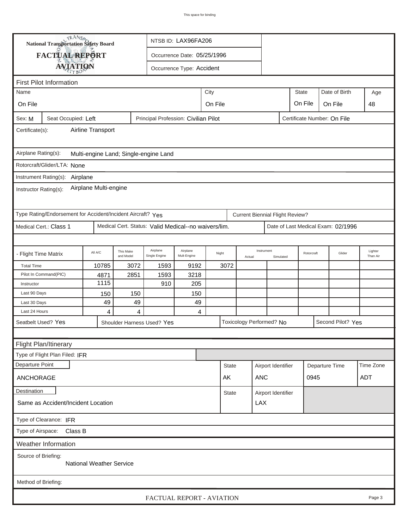|                                                                                                      | TRANSA                                                      | NTSB ID: LAX96FA206 |                        |                                                      |                             |         |              |        |                                        |                    |                |                                    |                     |
|------------------------------------------------------------------------------------------------------|-------------------------------------------------------------|---------------------|------------------------|------------------------------------------------------|-----------------------------|---------|--------------|--------|----------------------------------------|--------------------|----------------|------------------------------------|---------------------|
|                                                                                                      | National Transportation Safety Board<br>FACTUAL REPORT      |                     |                        |                                                      |                             |         |              |        |                                        |                    |                |                                    |                     |
|                                                                                                      |                                                             |                     |                        |                                                      | Occurrence Date: 05/25/1996 |         |              |        |                                        |                    |                |                                    |                     |
|                                                                                                      | <b>AVIATION</b>                                             |                     |                        | Occurrence Type: Accident                            |                             |         |              |        |                                        |                    |                |                                    |                     |
| <b>First Pilot Information</b>                                                                       |                                                             |                     |                        |                                                      |                             |         |              |        |                                        |                    |                |                                    |                     |
| <b>State</b><br>City<br>Name                                                                         |                                                             |                     |                        |                                                      |                             |         |              |        |                                        |                    | Date of Birth  | Age                                |                     |
| On File                                                                                              |                                                             |                     |                        |                                                      |                             | On File |              |        |                                        | On File            | On File        | 48                                 |                     |
| Principal Profession: Civilian Pilot<br>Certificate Number: On File<br>Seat Occupied: Left<br>Sex: M |                                                             |                     |                        |                                                      |                             |         |              |        |                                        |                    |                |                                    |                     |
| Airline Transport<br>Certificate(s):                                                                 |                                                             |                     |                        |                                                      |                             |         |              |        |                                        |                    |                |                                    |                     |
| Airplane Rating(s):<br>Multi-engine Land; Single-engine Land                                         |                                                             |                     |                        |                                                      |                             |         |              |        |                                        |                    |                |                                    |                     |
|                                                                                                      | Rotorcraft/Glider/LTA: None                                 |                     |                        |                                                      |                             |         |              |        |                                        |                    |                |                                    |                     |
|                                                                                                      | Instrument Rating(s): Airplane                              |                     |                        |                                                      |                             |         |              |        |                                        |                    |                |                                    |                     |
| Airplane Multi-engine<br>Instructor Rating(s):                                                       |                                                             |                     |                        |                                                      |                             |         |              |        |                                        |                    |                |                                    |                     |
|                                                                                                      | Type Rating/Endorsement for Accident/Incident Aircraft? Yes |                     |                        |                                                      |                             |         |              |        | <b>Current Biennial Flight Review?</b> |                    |                |                                    |                     |
|                                                                                                      | Medical Cert.: Class 1                                      |                     |                        | Medical Cert. Status: Valid Medical--no waivers/lim. |                             |         |              |        |                                        |                    |                | Date of Last Medical Exam: 02/1996 |                     |
|                                                                                                      |                                                             |                     |                        |                                                      |                             |         |              |        |                                        |                    |                |                                    |                     |
| - Flight Time Matrix                                                                                 |                                                             | All A/C             | This Make<br>and Model | Airplane<br>Single Engine                            | Airplane<br>Mult-Engine     | Night   |              | Actual | Instrument<br>Simulated                |                    | Rotorcraft     | Glider                             | Lighter<br>Than Air |
| <b>Total Time</b>                                                                                    |                                                             | 10785               | 3072                   | 1593                                                 | 9192                        |         | 3072         |        |                                        |                    |                |                                    |                     |
|                                                                                                      | Pilot In Command(PIC)                                       | 4871                | 2851                   | 1593                                                 | 3218                        |         |              |        |                                        |                    |                |                                    |                     |
| Instructor                                                                                           |                                                             | 1115                |                        | 910                                                  | 205                         |         |              |        |                                        |                    |                |                                    |                     |
| Last 90 Days                                                                                         |                                                             | 150                 | 150                    |                                                      | 150                         |         |              |        |                                        |                    |                |                                    |                     |
| Last 30 Days<br>Last 24 Hours                                                                        |                                                             | 49<br>4             | 49<br>4                |                                                      | 49<br>4                     |         |              |        |                                        |                    |                |                                    |                     |
|                                                                                                      | Seatbelt Used? Yes                                          |                     |                        | Shoulder Harness Used? Yes                           |                             |         |              |        | Toxicology Performed? No               |                    |                | Second Pilot? Yes                  |                     |
|                                                                                                      |                                                             |                     |                        |                                                      |                             |         |              |        |                                        |                    |                |                                    |                     |
|                                                                                                      |                                                             |                     |                        |                                                      |                             |         |              |        |                                        |                    |                |                                    |                     |
|                                                                                                      | Flight Plan/Itinerary<br>Type of Flight Plan Filed: IFR     |                     |                        |                                                      |                             |         |              |        |                                        |                    |                |                                    |                     |
| Departure Point                                                                                      |                                                             |                     |                        |                                                      |                             |         | <b>State</b> |        |                                        |                    |                |                                    | Time Zone           |
|                                                                                                      |                                                             |                     |                        |                                                      |                             |         |              |        | Airport Identifier                     |                    | Departure Time |                                    |                     |
| ANCHORAGE                                                                                            |                                                             |                     |                        |                                                      |                             |         | AK           |        | <b>ANC</b>                             |                    | 0945           |                                    | ADT                 |
| Destination                                                                                          |                                                             |                     |                        |                                                      |                             |         | <b>State</b> |        |                                        | Airport Identifier |                |                                    |                     |
|                                                                                                      | <b>LAX</b><br>Same as Accident/Incident Location            |                     |                        |                                                      |                             |         |              |        |                                        |                    |                |                                    |                     |
| Type of Clearance: IFR                                                                               |                                                             |                     |                        |                                                      |                             |         |              |        |                                        |                    |                |                                    |                     |
|                                                                                                      | Type of Airspace: Class B                                   |                     |                        |                                                      |                             |         |              |        |                                        |                    |                |                                    |                     |
|                                                                                                      | <b>Weather Information</b>                                  |                     |                        |                                                      |                             |         |              |        |                                        |                    |                |                                    |                     |
| Source of Briefing:<br><b>National Weather Service</b>                                               |                                                             |                     |                        |                                                      |                             |         |              |        |                                        |                    |                |                                    |                     |
| Method of Briefing:                                                                                  |                                                             |                     |                        |                                                      |                             |         |              |        |                                        |                    |                |                                    |                     |
| FACTUAL REPORT - AVIATION<br>Page 3                                                                  |                                                             |                     |                        |                                                      |                             |         |              |        |                                        |                    |                |                                    |                     |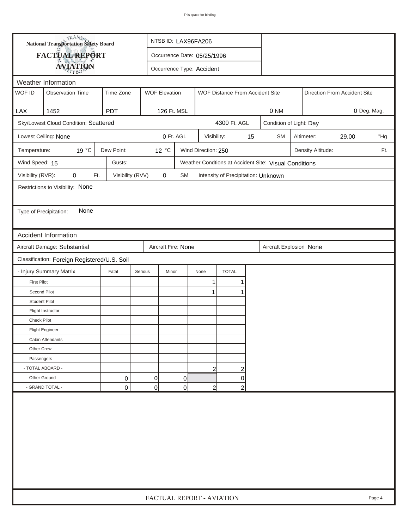| <b>National Transportation Safety Board</b> |                                                                                |                  |                  | NTSB ID: LAX96FA206                                     |                             |                                     |    |                                                       |  |                         |                              |     |  |
|---------------------------------------------|--------------------------------------------------------------------------------|------------------|------------------|---------------------------------------------------------|-----------------------------|-------------------------------------|----|-------------------------------------------------------|--|-------------------------|------------------------------|-----|--|
| FACTUAL REPORT                              |                                                                                |                  |                  |                                                         | Occurrence Date: 05/25/1996 |                                     |    |                                                       |  |                         |                              |     |  |
|                                             | <b>AVIATION</b>                                                                |                  |                  |                                                         | Occurrence Type: Accident   |                                     |    |                                                       |  |                         |                              |     |  |
| Weather Information                         |                                                                                |                  |                  |                                                         |                             |                                     |    |                                                       |  |                         |                              |     |  |
| WOF ID                                      | <b>Observation Time</b>                                                        | Time Zone        |                  | <b>WOF Elevation</b><br>WOF Distance From Accident Site |                             |                                     |    |                                                       |  |                         | Direction From Accident Site |     |  |
|                                             |                                                                                |                  |                  |                                                         |                             |                                     |    |                                                       |  |                         |                              |     |  |
| LAX                                         | 1452                                                                           | <b>PDT</b>       |                  | 126 Ft. MSL                                             |                             |                                     |    | 0 <sub>NM</sub>                                       |  |                         | 0 Deg. Mag.                  |     |  |
|                                             | Sky/Lowest Cloud Condition: Scattered                                          |                  |                  | 4300 Ft. AGL                                            |                             |                                     |    |                                                       |  | Condition of Light: Day |                              |     |  |
|                                             | Lowest Ceiling: None                                                           |                  |                  | 0 Ft. AGL                                               | Visibility:                 |                                     | 15 | <b>SM</b>                                             |  | Altimeter:              | 29.00                        | "Hg |  |
| Temperature:                                | 19 °C                                                                          | Dew Point:       | 12 °C            |                                                         | Wind Direction: 250         |                                     |    |                                                       |  | Density Altitude:       |                              | Ft. |  |
| Wind Speed: 15                              |                                                                                | Gusts:           |                  |                                                         |                             |                                     |    | Weather Condtions at Accident Site: Visual Conditions |  |                         |                              |     |  |
| Visibility (RVR):                           | $\mathbf 0$<br>Ft.                                                             | Visibility (RVV) | 0                | SM                                                      |                             | Intensity of Precipitation: Unknown |    |                                                       |  |                         |                              |     |  |
|                                             | Restrictions to Visibility: None                                               |                  |                  |                                                         |                             |                                     |    |                                                       |  |                         |                              |     |  |
|                                             |                                                                                |                  |                  |                                                         |                             |                                     |    |                                                       |  |                         |                              |     |  |
| Type of Precipitation:                      | None                                                                           |                  |                  |                                                         |                             |                                     |    |                                                       |  |                         |                              |     |  |
|                                             |                                                                                |                  |                  |                                                         |                             |                                     |    |                                                       |  |                         |                              |     |  |
|                                             | <b>Accident Information</b>                                                    |                  |                  |                                                         |                             |                                     |    |                                                       |  |                         |                              |     |  |
|                                             | Aircraft Damage: Substantial<br>Aircraft Fire: None<br>Aircraft Explosion None |                  |                  |                                                         |                             |                                     |    |                                                       |  |                         |                              |     |  |
|                                             | Classification: Foreign Registered/U.S. Soil                                   |                  |                  |                                                         |                             |                                     |    |                                                       |  |                         |                              |     |  |
|                                             | - Injury Summary Matrix                                                        | Fatal            | Serious<br>Minor |                                                         | None                        | <b>TOTAL</b>                        |    |                                                       |  |                         |                              |     |  |
| <b>First Pilot</b>                          |                                                                                |                  |                  |                                                         | $\mathbf{1}$                | 1                                   |    |                                                       |  |                         |                              |     |  |
| Second Pilot                                |                                                                                |                  |                  |                                                         | 1                           |                                     |    |                                                       |  |                         |                              |     |  |
| <b>Student Pilot</b>                        |                                                                                |                  |                  |                                                         |                             |                                     |    |                                                       |  |                         |                              |     |  |
|                                             | Flight Instructor                                                              |                  |                  |                                                         |                             |                                     |    |                                                       |  |                         |                              |     |  |
| <b>Check Pilot</b>                          |                                                                                |                  |                  |                                                         |                             |                                     |    |                                                       |  |                         |                              |     |  |
|                                             | <b>Flight Engineer</b>                                                         |                  |                  |                                                         |                             |                                     |    |                                                       |  |                         |                              |     |  |
|                                             | Cabin Attendants                                                               |                  |                  |                                                         |                             |                                     |    |                                                       |  |                         |                              |     |  |
| Other Crew                                  |                                                                                |                  |                  |                                                         |                             |                                     |    |                                                       |  |                         |                              |     |  |
| Passengers                                  |                                                                                |                  |                  |                                                         |                             |                                     |    |                                                       |  |                         |                              |     |  |
|                                             | - TOTAL ABOARD -                                                               |                  |                  |                                                         | 2                           | $\overline{c}$                      |    |                                                       |  |                         |                              |     |  |
| Other Ground                                |                                                                                | 0                | $\Omega$         | 0                                                       |                             | $\overline{0}$                      |    |                                                       |  |                         |                              |     |  |
|                                             | - GRAND TOTAL -                                                                | 0                | 0                | 0                                                       | $\overline{2}$              | $\overline{2}$                      |    |                                                       |  |                         |                              |     |  |
|                                             |                                                                                |                  |                  |                                                         |                             |                                     |    |                                                       |  |                         |                              |     |  |
|                                             | FACTUAL REPORT - AVIATION<br>Page 4                                            |                  |                  |                                                         |                             |                                     |    |                                                       |  |                         |                              |     |  |